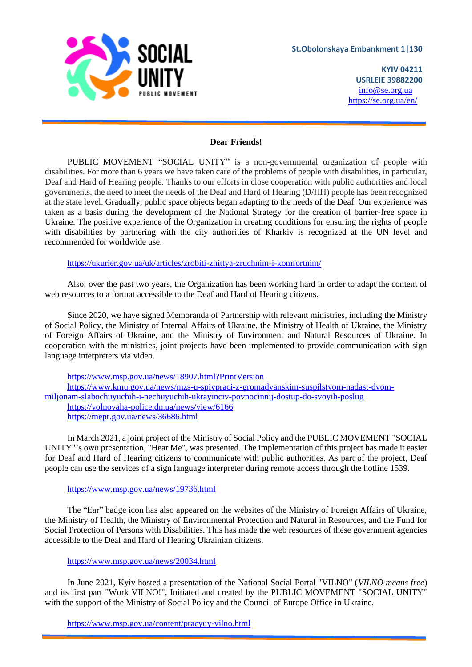

**KYIV 04211 USRLEIE 39882200** [info@se.org.ua](mailto:info@se.org.ua) https://se.org.ua/en/

## **Dear Friends!**

PUBLIC MOVEMENT "SOCIAL UNITY" is a non-governmental organization of people with disabilities. For more than 6 years we have taken care of the problems of people with disabilities, in particular, Deaf and Hard of Hearing people. Thanks to our efforts in close cooperation with public authorities and local governments, the need to meet the needs of the Deaf and Hard of Hearing (D/HH) people has been recognized at the state level. Gradually, public space objects began adapting to the needs of the Deaf. Our experience was taken as a basis during the development of the National Strategy for the creation of barrier-free space in Ukraine. The positive experience of the Organization in creating conditions for ensuring the rights of people with disabilities by partnering with the city authorities of Kharkiv is recognized at the UN level and recommended for worldwide use.

<https://ukurier.gov.ua/uk/articles/zrobiti-zhittya-zruchnim-i-komfortnim/>

Also, over the past two years, the Organization has been working hard in order to adapt the content of web resources to a format accessible to the Deaf and Hard of Hearing citizens.

Since 2020, we have signed Memoranda of Partnership with relevant ministries, including the Ministry of Social Policy, the Ministry of Internal Affairs of Ukraine, the Ministry of Health of Ukraine, the Ministry of Foreign Affairs of Ukraine, and the Ministry of Environment and Natural Resources of Ukraine. In cooperation with the ministries, joint projects have been implemented to provide communication with sign language interpreters via video.

<https://www.msp.gov.ua/news/18907.html?PrintVersion> [https://www.kmu.gov.ua/news/mzs-u-spivpraci-z-gromadyanskim-suspilstvom-nadast-dvom](https://www.kmu.gov.ua/news/mzs-u-spivpraci-z-gromadyanskim-suspilstvom-nadast-dvom-miljonam-slabochuyuchih-i-nechuyuchih-ukrayinciv-povnocinnij-dostup-do-svoyih-poslug)[miljonam-slabochuyuchih-i-nechuyuchih-ukrayinciv-povnocinnij-dostup-do-svoyih-poslug](https://www.kmu.gov.ua/news/mzs-u-spivpraci-z-gromadyanskim-suspilstvom-nadast-dvom-miljonam-slabochuyuchih-i-nechuyuchih-ukrayinciv-povnocinnij-dostup-do-svoyih-poslug) <https://volnovaha-police.dn.ua/news/view/6166> <https://mepr.gov.ua/news/36686.html>

In March 2021, a joint project of the Ministry of Social Policy and the PUBLIC MOVEMENT "SOCIAL UNITY"'s own presentation, "Hear Me", was presented. The implementation of this project has made it easier for Deaf and Hard of Hearing citizens to communicate with public authorities. As part of the project, Deaf people can use the services of a sign language interpreter during remote access through the hotline 1539.

## <https://www.msp.gov.ua/news/19736.html>

The "Еar" badge icon has also appeared on the websites of the Ministry of Foreign Affairs of Ukraine, the Ministry of Health, the Ministry of Environmental Protection and Natural in Resources, and the Fund for Social Protection of Persons with Disabilities. This has made the web resources of these government agencies accessible to the Deaf and Hard of Hearing Ukrainian citizens.

## <https://www.msp.gov.ua/news/20034.html>

In June 2021, Kyiv hosted a presentation of the National Social Portal "VILNO" (*VILNO means free*) and its first part "Work VILNO!", Initiated and created by the PUBLIC MOVEMENT "SOCIAL UNITY" with the support of the Ministry of Social Policy and the Council of Europe Office in Ukraine.

<https://www.msp.gov.ua/content/pracyuy-vilno.html>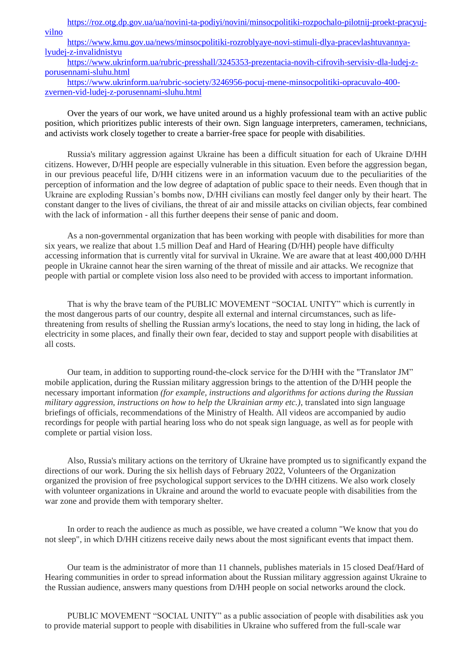[https://roz.otg.dp.gov.ua/ua/novini-ta-podiyi/novini/minsocpolitiki-rozpochalo-pilotnij-proekt-pracyuj](https://roz.otg.dp.gov.ua/ua/novini-ta-podiyi/novini/minsocpolitiki-rozpochalo-pilotnij-proekt-pracyuj-vilno)[vilno](https://roz.otg.dp.gov.ua/ua/novini-ta-podiyi/novini/minsocpolitiki-rozpochalo-pilotnij-proekt-pracyuj-vilno)

[https://www.kmu.gov.ua/news/minsocpolitiki-rozroblyaye-novi-stimuli-dlya-pracevlashtuvannya](https://www.kmu.gov.ua/news/minsocpolitiki-rozroblyaye-novi-stimuli-dlya-pracevlashtuvannya-lyudej-z-invalidnistyu)[lyudej-z-invalidnistyu](https://www.kmu.gov.ua/news/minsocpolitiki-rozroblyaye-novi-stimuli-dlya-pracevlashtuvannya-lyudej-z-invalidnistyu)

[https://www.ukrinform.ua/rubric-presshall/3245353-prezentacia-novih-cifrovih-servisiv-dla-ludej-z](https://www.ukrinform.ua/rubric-presshall/3245353-prezentacia-novih-cifrovih-servisiv-dla-ludej-z-porusennami-sluhu.html)[porusennami-sluhu.html](https://www.ukrinform.ua/rubric-presshall/3245353-prezentacia-novih-cifrovih-servisiv-dla-ludej-z-porusennami-sluhu.html)

[https://www.ukrinform.ua/rubric-society/3246956-pocuj-mene-minsocpolitiki-opracuvalo-400](https://www.ukrinform.ua/rubric-society/3246956-pocuj-mene-minsocpolitiki-opracuvalo-400-zvernen-vid-ludej-z-porusennami-sluhu.html) [zvernen-vid-ludej-z-porusennami-sluhu.html](https://www.ukrinform.ua/rubric-society/3246956-pocuj-mene-minsocpolitiki-opracuvalo-400-zvernen-vid-ludej-z-porusennami-sluhu.html)

Over the years of our work, we have united around us a highly professional team with an active public position, which prioritizes public interests of their own. Sign language interpreters, cameramen, technicians, and activists work closely together to create a barrier-free space for people with disabilities.

Russia's military aggression against Ukraine has been a difficult situation for each of Ukraine D/HH citizens. However, D/HH people are especially vulnerable in this situation. Even before the aggression began, in our previous peaceful life, D/HH citizens were in an information vacuum due to the peculiarities of the perception of information and the low degree of adaptation of public space to their needs. Even though that in Ukraine are exploding Russian's bombs now, D/HH civilians can mostly feel danger only by their heart. The constant danger to the lives of civilians, the threat of air and missile attacks on civilian objects, fear combined with the lack of information - all this further deepens their sense of panic and doom.

As a non-governmental organization that has been working with people with disabilities for more than six years, we realize that about 1.5 million Deaf and Hard of Hearing (D/HH) people have difficulty accessing information that is currently vital for survival in Ukraine. We are aware that at least 400,000 D/HH people in Ukraine cannot hear the siren warning of the threat of missile and air attacks. We recognize that people with partial or complete vision loss also need to be provided with access to important information.

That is why the brave team of the PUBLIC MOVEMENT "SOCIAL UNITY" which is currently in the most dangerous parts of our country, despite all external and internal circumstances, such as lifethreatening from results of shelling the Russian army's locations, the need to stay long in hiding, the lack of electricity in some places, and finally their own fear, decided to stay and support people with disabilities at all costs.

Our team, in addition to supporting round-the-clock service for the D/HH with the "Translator JM" mobile application, during the Russian military aggression brings to the attention of the D/HH people the necessary important information *(for example, instructions and algorithms for actions during the Russian military aggression, instructions on how to help the Ukrainian army etc.)*, translated into sign language briefings of officials, recommendations of the Ministry of Health. All videos are accompanied by audio recordings for people with partial hearing loss who do not speak sign language, as well as for people with complete or partial vision loss.

Also, Russia's military actions on the territory of Ukraine have prompted us to significantly expand the directions of our work. During the six hellish days of February 2022, Volunteers of the Organization organized the provision of free psychological support services to the D/HH citizens. We also work closely with volunteer organizations in Ukraine and around the world to evacuate people with disabilities from the war zone and provide them with temporary shelter.

In order to reach the audience as much as possible, we have created a column "We know that you do not sleep", in which D/HH citizens receive daily news about the most significant events that impact them.

Our team is the administrator of more than 11 channels, publishes materials in 15 closed Deaf/Hard of Hearing communities in order to spread information about the Russian military aggression against Ukraine to the Russian audience, answers many questions from D/HH people on social networks around the clock.

PUBLIC MOVEMENT "SOCIAL UNITY" as a public association of people with disabilities ask you to provide material support to people with disabilities in Ukraine who suffered from the full-scale war